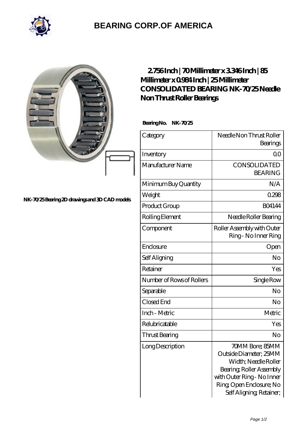

## **[BEARING CORP.OF AMERICA](https://bluemondayreview.com)**

|                                              | 2756Inch   70Millimeter x 3346Inch   85<br>Millimeter x 0984 Inch   25 Millimeter<br>CONSOLIDATED BEARING NK-7025Needle<br>Non Thrust Roller Bearings<br>BearingNo.<br>NK-7025 |                                                                                                                                                                                    |
|----------------------------------------------|--------------------------------------------------------------------------------------------------------------------------------------------------------------------------------|------------------------------------------------------------------------------------------------------------------------------------------------------------------------------------|
|                                              | Category                                                                                                                                                                       | Needle Non Thrust Roller<br>Bearings                                                                                                                                               |
|                                              | Inventory                                                                                                                                                                      | 0 <sup>0</sup>                                                                                                                                                                     |
|                                              | Manufacturer Name                                                                                                                                                              | CONSOLIDATED<br><b>BEARING</b>                                                                                                                                                     |
|                                              | Minimum Buy Quantity                                                                                                                                                           | N/A                                                                                                                                                                                |
| NK-7025Bearing 2D drawings and 3D CAD models | Weight                                                                                                                                                                         | 0.298                                                                                                                                                                              |
|                                              | Product Group                                                                                                                                                                  | <b>BO4144</b>                                                                                                                                                                      |
|                                              | Rolling Element                                                                                                                                                                | Needle Roller Bearing                                                                                                                                                              |
|                                              | Component                                                                                                                                                                      | Roller Assembly with Outer<br>Ring - No Inner Ring                                                                                                                                 |
|                                              | Enclosure                                                                                                                                                                      | Open                                                                                                                                                                               |
|                                              | Self Aligning                                                                                                                                                                  | N <sub>o</sub>                                                                                                                                                                     |
|                                              | Retainer                                                                                                                                                                       | Yes                                                                                                                                                                                |
|                                              | Number of Rows of Rollers                                                                                                                                                      | Single Row                                                                                                                                                                         |
|                                              | Separable                                                                                                                                                                      | No                                                                                                                                                                                 |
|                                              | Closed End                                                                                                                                                                     | No                                                                                                                                                                                 |
|                                              | Inch - Metric                                                                                                                                                                  | Metric                                                                                                                                                                             |
|                                              | Relubricatable                                                                                                                                                                 | Yes                                                                                                                                                                                |
|                                              | Thrust Bearing                                                                                                                                                                 | No                                                                                                                                                                                 |
|                                              | Long Description                                                                                                                                                               | 70MM Bore; 85MM<br>Outside Diameter; 25MM<br>Width; Needle Roller<br>Bearing, Roller Assembly<br>with Outer Ring - No Inner<br>Ring Open Enclosure; No<br>Self Aligning, Retainer, |